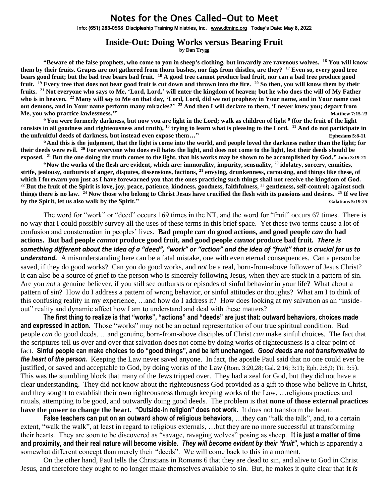## Notes for the Ones Called-Out to Meet

Info: (651) 283-0568 Discipleship Training Ministries, Inc. [www.dtminc.org](http://www.dtminc.org/) Today's Date: May 8, 2022

## **Inside-Out: Doing Works versus Bearing Fruit**

**by Dan Trygg**

**"Beware of the false prophets, who come to you in sheep's clothing, but inwardly are ravenous wolves. <sup>16</sup> You will know them by their fruits. Grapes are not gathered from thorn bushes, nor figs from thistles, are they? <sup>17</sup> Even so, every good tree bears good fruit; but the bad tree bears bad fruit. <sup>18</sup> A good tree cannot produce bad fruit, nor can a bad tree produce good fruit. <sup>19</sup> Every tree that does not bear good fruit is cut down and thrown into the fire. <sup>20</sup> So then, you will know them by their fruits. <sup>21</sup> Not everyone who says to Me, 'Lord, Lord,' will enter the kingdom of heaven; but he who does the will of My Father who is in heaven. <sup>22</sup> Many will say to Me on that day, 'Lord, Lord, did we not prophesy in Your name, and in Your name cast out demons, and in Your name perform many miracles?' <sup>23</sup> And then I will declare to them, 'I never knew you; depart from Me, you who practice lawlessness.'" Matthew 7:15-23**

**"You were formerly darkness, but now you are light in the Lord; walk as children of light <sup>9</sup> (for the fruit of the light consists in all goodness and righteousness and truth), <sup>10</sup> trying to learn what is pleasing to the Lord. <sup>11</sup> And do not participate in the unfruitful deeds of darkness, but instead even expose them…" Ephesians 5:8-11** 

**"And this is the judgment, that the light is come into the world, and people loved the darkness rather than the light; for their deeds were evil. <sup>20</sup> For everyone who does evil hates the light, and does not come to the light, lest their deeds should be exposed. <sup>21</sup> But the one doing the truth comes to the light, that his works may be shown to be accomplished by God." John 3:19-21**

**"Now the works of the flesh are evident, which are: immorality, impurity, sensuality, <sup>20</sup> idolatry, sorcery, enmities, strife, jealousy, outbursts of anger, disputes, dissensions, factions, <sup>21</sup> envying, drunkenness, carousing, and things like these, of which I forewarn you just as I have forewarned you that the ones practicing such things shall not receive the kingdom of God. <sup>22</sup> But the fruit of the Spirit is love, joy, peace, patience, kindness, goodness, faithfulness, <sup>23</sup> gentleness, self-control; against such things there is no law. <sup>24</sup> Now those who belong to Christ Jesus have crucified the flesh with its passions and desires. <sup>25</sup> If we live by the Spirit, let us also walk by the Spirit." Galatians 5:19-25**

The word for "work" or "deed" occurs 169 times in the NT, and the word for "fruit" occurs 67 times. There is no way that I could possibly survey all the uses of these terms in this brief space. Yet these two terms cause a lot of confusion and consternation in peoples' lives. **Bad people** *can* **do good actions, and good people** *can* **do bad actions. But bad people** *cannot* **produce good fruit, and good people** *cannot* **produce bad fruit.** *There is something different about the idea of a "deed", "work" or "action" and the idea of "fruit" that is crucial for us to understand.* A misunderstanding here can be a fatal mistake, one with even eternal consequences. Can a person be saved, if they do good works? Can you do good works, and *not* be a real, born-from-above follower of Jesus Christ? It can also be a source of grief to the person who is sincerely following Jesus, when they are stuck in a pattern of sin. Are you *not* a genuine believer, if you still see outbursts or episodes of sinful behavior in your life? What about a pattern of sin? How do I address a pattern of wrong behavior, or sinful attitudes or thoughts? What am I to think of this confusing reality in my experience, …and how do I address it? How does looking at my salvation as an "insideout" reality and dynamic affect how I am to understand and deal with these matters?

**The first thing to realize is that "works", "actions" and "deeds" are just that: outward behaviors, choices made and expressed in action.** Those "works" may not be an actual representation of our true spiritual condition. Bad people *can* do good deeds, …and genuine, born-from-above disciples of Christ *can* make sinful choices. The fact that the scriptures tell us over and over that salvation does not come by doing works of righteousness is a clear point of fact. **Sinful people can make choices to do "good things", and be left unchanged.** *Good deeds are not transformative to the heart of the person.* Keeping the Law never saved anyone. In fact, the apostle Paul said that no one could ever be justified, or saved and acceptable to God, by doing works of the Law (Rom. 3:20,28; Gal. 2:16; 3:11; Eph. 2:8,9; Tit. 3:5). This was the stumbling block that many of the Jews tripped over. They had a zeal for God, but they did not have a clear understanding. They did not know about the righteousness God provided as a gift to those who believe in Christ, and they sought to establish their own righteousness through keeping works of the Law, …religious practices and rituals, attempting to be good, and outwardly doing good deeds. The problem is that **none of those external practices have the power to change the heart. "Outside-in religion" does not work.** It does not transform the heart.

**False teachers can put on an outward show of religious behaviors**, …they can "talk the talk", and, to a certain extent, "walk the walk", at least in regard to religious externals, …but they are no more successful at transforming their hearts. They are soon to be discovered as "savage, ravaging wolves" posing as sheep. I**t is just a matter of time and proximity, and their real nature will become visible.** *They will become evident by their "fruit"*, which is apparently a somewhat different concept than merely their "deeds". We will come back to this in a moment.

On the other hand, Paul tells the Christians in Romans 6 that they are dead to sin, and alive to God in Christ Jesus, and therefore they ought to no longer make themselves available to sin. But, he makes it quite clear that **it** *is*